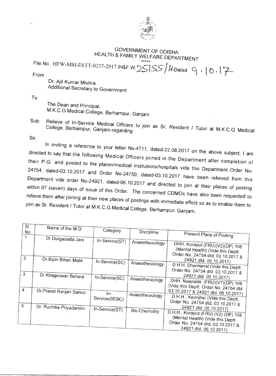

## GOVERNMENT OF ODISHA HEALTH & FAMILY WELFARE DEPARTMENT

File No. HFW-MSI-ESTT-0237-2017 /H&F.W. 25 SS / H. Dated From  $f(x) = \frac{1}{2} \int_{0}^{2} f(x) \sqrt{1 - \frac{1}{2} \left( \frac{1}{2} \right)^2} \left[ \frac{1}{2} \right] f(x)$  ated  $\left[ \begin{array}{c} 0 \\ 1 \end{array} \right]$ 

Dr. Ajit Kumar Mishra Additional Secretary to Government

To

The Dean and Principal, M.K.C.G Medical College, Berhampur, Ganjam

Subsect of In-Service Medical Officers to join as Sr. Resident / Tutor at M.K.C. College, Berhampur, Ganjam-regarding Medical Solit Resident / Tutor at M.K.C.G Medical

Sir,

 $\overline{\phantom{a}}$ 

In inviting a reference to your letter No-4711, dated-22.08.2017 on the above subject, I am<br>I to say that the following Music serves directed to say that the following Medical Officers joined in the Department after completion of their P.G. and posted to the places/medical institutions/hospitals vide this Department Order No-24754, dated-03.10.2017 and Order No-24750, dated - 03.10.2017 have been relieved from this Department vide order No-24921, dated-06.10.2017 and directed to join at their places of posting within 07 (seven) days of issue of this Order. The concerned CDMOs have also been requested to relieve them after joining at their new places of postings with immediate effect so as to enable them to join as Sr. Resident / Tutor at M.K.C.G Medical College, Berhampur, Ganjam.

|   | OL.           | Name of the $M.O$        |                |                 |                                                                               |  |  |  |
|---|---------------|--------------------------|----------------|-----------------|-------------------------------------------------------------------------------|--|--|--|
|   | No            |                          | Category       | Discipline      |                                                                               |  |  |  |
|   |               | Dr.Durgadatta Jani       |                |                 | Present Place of Posting                                                      |  |  |  |
|   |               |                          | In-Service(ST) | Anaesthesiology |                                                                               |  |  |  |
|   |               |                          |                |                 | DHH, Koraput (FRU)(V2)(DP) 108                                                |  |  |  |
|   |               |                          |                |                 | (Mental Health) (Vide this Deptt.                                             |  |  |  |
|   | $\mathcal{P}$ | Dr. Bipin Bihari Malik   |                |                 | Order No. 24754 dtd. 03.10.2017 &                                             |  |  |  |
|   |               |                          | In-Service(SC) | Anaesthesiology | 24921 dtd. 06.10.2017)                                                        |  |  |  |
|   |               |                          |                |                 | D.H.H. Dhenkanal (Vide this Deptt.                                            |  |  |  |
|   | 3             | Dr.Khageswar Behera      |                |                 | Order No. 24754 dtd. 03.10.2017 &                                             |  |  |  |
|   |               |                          | In-Service(SC) | Anaesthesiology | 24921 dtd. 06.10.2017)                                                        |  |  |  |
|   |               |                          |                |                 | DHH, Nuapada (FRU)(V1)(DP) 108                                                |  |  |  |
| 4 |               | Dr.Pravat Ranjan Sahoo   |                |                 | (Vide this Deptt. Order No. 24754 dtd.<br>03.10.2017 & 24921 dtd. 06.10.2017) |  |  |  |
|   |               |                          | In-            | Anaesthesiology |                                                                               |  |  |  |
|   |               |                          | Service(SEBC)  |                 | D.H.H., Keonjhar (Vide this Deptt.                                            |  |  |  |
| 5 |               | Dr. Ruchika Priyadarsini |                |                 | Order No. 24754 dtd. 03.10.2017 &                                             |  |  |  |
|   |               |                          | In-Service(ST) | Bio-Chemistry   | 24921 dtd. 06.10.2017)                                                        |  |  |  |
|   |               |                          |                |                 | D.H.H., Koraput (FRU) (V2) (DP) 108                                           |  |  |  |
|   |               |                          |                |                 | (Mental Health) (Vide this Deptt.<br>Order No. 24754 dtd. 03.10.2017 &        |  |  |  |
|   |               |                          |                |                 | 24921 dtd. 06.10.2017)                                                        |  |  |  |
|   |               |                          |                |                 |                                                                               |  |  |  |